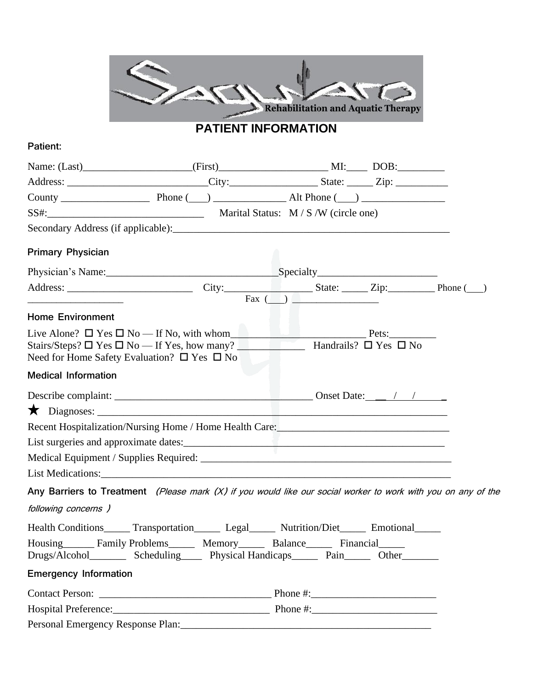

# **PATIENT INFORMATION**

### **Patient:**

|                                                                                                                       | Address: _______________________________City:______________________State: _______Zip: ______________                                                   |                                                                                                                                                                                                                                      |  |
|-----------------------------------------------------------------------------------------------------------------------|--------------------------------------------------------------------------------------------------------------------------------------------------------|--------------------------------------------------------------------------------------------------------------------------------------------------------------------------------------------------------------------------------------|--|
|                                                                                                                       |                                                                                                                                                        |                                                                                                                                                                                                                                      |  |
|                                                                                                                       |                                                                                                                                                        |                                                                                                                                                                                                                                      |  |
|                                                                                                                       |                                                                                                                                                        |                                                                                                                                                                                                                                      |  |
| <b>Primary Physician</b>                                                                                              |                                                                                                                                                        |                                                                                                                                                                                                                                      |  |
|                                                                                                                       |                                                                                                                                                        |                                                                                                                                                                                                                                      |  |
| <u> Alexandria de la contexta de la contexta de la contexta de la contexta de la contexta de la contexta de la co</u> |                                                                                                                                                        | <u> 1990 - Johann Harry Harry Harry Harry Harry Harry Harry Harry Harry Harry Harry Harry Harry Harry Harry Harry Harry Harry Harry Harry Harry Harry Harry Harry Harry Harry Harry Harry Harry Harry Harry Harry Harry Harry Ha</u> |  |
| <b>Home Environment</b>                                                                                               |                                                                                                                                                        |                                                                                                                                                                                                                                      |  |
| Need for Home Safety Evaluation? $\square$ Yes $\square$ No                                                           | Live Alone? $\Box$ Yes $\Box$ No — If No, with whom $P_{\text{test}}$ Pets:                                                                            |                                                                                                                                                                                                                                      |  |
| <b>Medical Information</b>                                                                                            |                                                                                                                                                        |                                                                                                                                                                                                                                      |  |
|                                                                                                                       |                                                                                                                                                        |                                                                                                                                                                                                                                      |  |
|                                                                                                                       |                                                                                                                                                        |                                                                                                                                                                                                                                      |  |
|                                                                                                                       |                                                                                                                                                        |                                                                                                                                                                                                                                      |  |
|                                                                                                                       |                                                                                                                                                        |                                                                                                                                                                                                                                      |  |
|                                                                                                                       |                                                                                                                                                        |                                                                                                                                                                                                                                      |  |
|                                                                                                                       |                                                                                                                                                        |                                                                                                                                                                                                                                      |  |
|                                                                                                                       | Any Barriers to Treatment (Please mark (X) if you would like our social worker to work with you on any of the                                          |                                                                                                                                                                                                                                      |  |
| following concerns )                                                                                                  |                                                                                                                                                        |                                                                                                                                                                                                                                      |  |
|                                                                                                                       | Health Conditions______ Transportation_______ Legal______ Nutrition/Diet______ Emotional______                                                         |                                                                                                                                                                                                                                      |  |
|                                                                                                                       | Housing Family Problems Memory Balance Financial<br>Drugs/Alcohol___________ Scheduling________ Physical Handicaps________ Pain_______ Other__________ |                                                                                                                                                                                                                                      |  |
| <b>Emergency Information</b>                                                                                          |                                                                                                                                                        |                                                                                                                                                                                                                                      |  |
|                                                                                                                       |                                                                                                                                                        |                                                                                                                                                                                                                                      |  |
|                                                                                                                       |                                                                                                                                                        |                                                                                                                                                                                                                                      |  |
|                                                                                                                       |                                                                                                                                                        |                                                                                                                                                                                                                                      |  |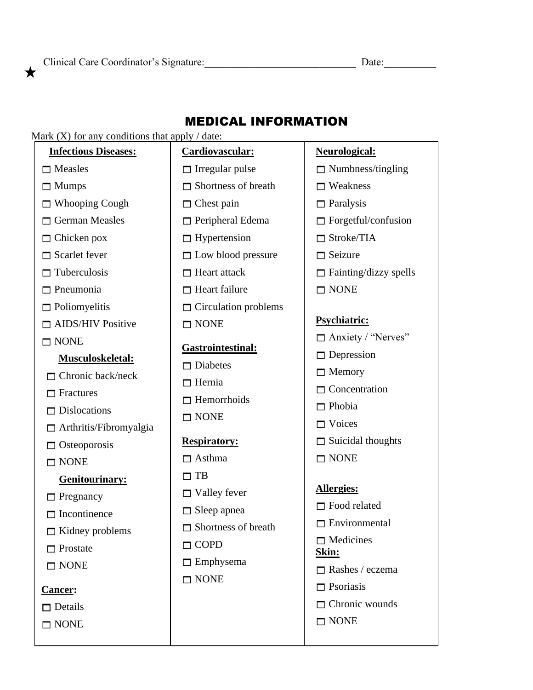Clinical Care Coordinator's Signature: Date: Date:

### MEDICAL INFORMATION

#### Mark  $(X)$  for any conditions that apply / date: **Cardiovascular:**  $\Box$  Irregular pulse  $\Box$  Shortness of breath  $\Box$  Chest pain  $\Box$  Peripheral Edema  $\Box$  Hypertension  $\Box$  Low blood pressure  $\Box$  Heart attack  $\Box$  Heart failure  $\Box$  Circulation problems  $\Box$  NONE **Gastrointestinal:**  $\Box$  Diabetes  $\Box$  Hernia  $\Box$  Hemorrhoids  $\Box$  NONE **Respiratory:**  $\Box$  Asthma  $\Box$  TB  $\Box$  Valley fever  $\Box$  Sleep apnea  $\Box$  Shortness of breath  $\sqcap$  COPD  $\Box$  Emphysema  $\Box$  NONE **Neurological:**  $\Box$  Numbness/tingling  $\Box$  Weakness  $\Box$  Paralysis  $\Box$  Forgetful/confusion  $\Box$  Stroke/TIA  $\Box$  Seizure  $\Box$  Fainting/dizzy spells  $\Box$  NONE **Psychiatric:**  $\Box$  Anxiety / "Nerves"  $\Box$  Depression  $\Box$  Memory  $\Box$  Concentration  $\Box$  Phobia  $\Box$  Voices  $\Box$  Suicidal thoughts  $\Box$  NONE **Allergies:**  $\Box$  Food related  $\Box$  Environmental  $\Box$  Medicines **Skin:**  $\Box$  Rashes / eczema  $\Box$  Psoriasis  $\Box$  Chronic wounds  $\Box$  NONE  **Infectious Diseases:**  $\Box$  Measles □ Mumps □ Whooping Cough  $\Box$  German Measles  $\Box$  Chicken pox  $\Box$  Scarlet fever  $\Box$  Tuberculosis  $\Box$  Pneumonia  $\Box$  Poliomyelitis  $\Box$  AIDS/HIV Positive  $\Box$  NONE **Musculoskeletal:**  $\Box$  Chronic back/neck  $\Box$  Fractures  $\neg$  Dislocations  $\Box$  Arthritis/Fibromyalgia  $\Box$  Osteoporosis  $\Box$  NONE  **Genitourinary:**  $\Box$  Pregnancy  $\Box$  Incontinence  $\Box$  Kidney problems  $\Box$  Prostate  $\Box$  NONE **Cancer:**  $\Box$  Details  $\Box$  NONE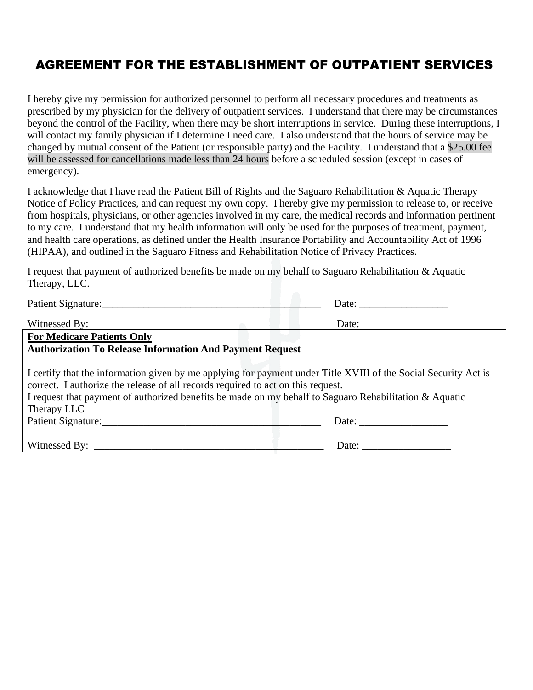### AGREEMENT FOR THE ESTABLISHMENT OF OUTPATIENT SERVICES

I hereby give my permission for authorized personnel to perform all necessary procedures and treatments as prescribed by my physician for the delivery of outpatient services. I understand that there may be circumstances beyond the control of the Facility, when there may be short interruptions in service. During these interruptions, I will contact my family physician if I determine I need care. I also understand that the hours of service may be changed by mutual consent of the Patient (or responsible party) and the Facility. I understand that a \$25.00 fee will be assessed for cancellations made less than 24 hours before a scheduled session (except in cases of emergency).

I acknowledge that I have read the Patient Bill of Rights and the Saguaro Rehabilitation & Aquatic Therapy Notice of Policy Practices, and can request my own copy. I hereby give my permission to release to, or receive from hospitals, physicians, or other agencies involved in my care, the medical records and information pertinent to my care. I understand that my health information will only be used for the purposes of treatment, payment, and health care operations, as defined under the Health Insurance Portability and Accountability Act of 1996 (HIPAA), and outlined in the Saguaro Fitness and Rehabilitation Notice of Privacy Practices.

I request that payment of authorized benefits be made on my behalf to Saguaro Rehabilitation & Aquatic Therapy, LLC.

| Patient Signature:                                                                                                                                                                                                                                                                                                                                 |       |  |  |  |
|----------------------------------------------------------------------------------------------------------------------------------------------------------------------------------------------------------------------------------------------------------------------------------------------------------------------------------------------------|-------|--|--|--|
| Witnessed By: $\frac{1}{\sqrt{1-\frac{1}{2}} \cdot \frac{1}{2}}$                                                                                                                                                                                                                                                                                   |       |  |  |  |
| <b>For Medicare Patients Only</b>                                                                                                                                                                                                                                                                                                                  |       |  |  |  |
| <b>Authorization To Release Information And Payment Request</b>                                                                                                                                                                                                                                                                                    |       |  |  |  |
| I certify that the information given by me applying for payment under Title XVIII of the Social Security Act is<br>correct. I authorize the release of all records required to act on this request.<br>I request that payment of authorized benefits be made on my behalf to Saguaro Rehabilitation & Aquatic<br>Therapy LLC<br>Patient Signature: | Date: |  |  |  |
|                                                                                                                                                                                                                                                                                                                                                    |       |  |  |  |